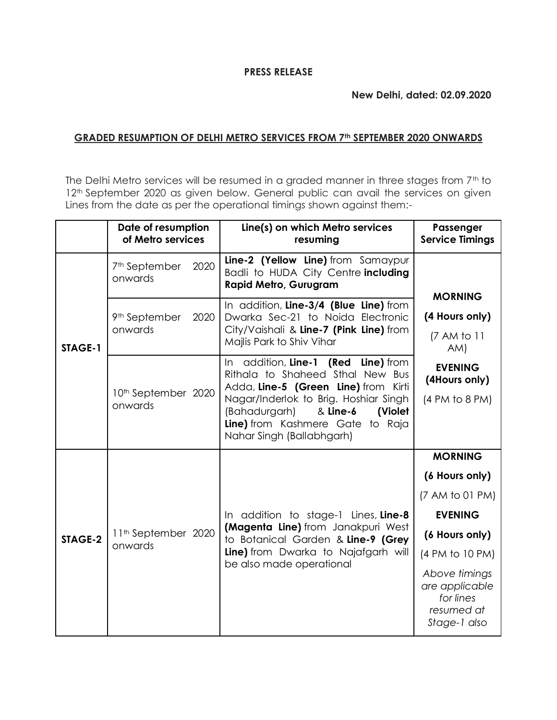## **New Delhi, dated: 02.09.2020**

## **GRADED RESUMPTION OF DELHI METRO SERVICES FROM 7th SEPTEMBER 2020 ONWARDS**

The Delhi Metro services will be resumed in a graded manner in three stages from 7<sup>th</sup> to 12<sup>th</sup> September 2020 as given below. General public can avail the services on given Lines from the date as per the operational timings shown against them:-

|         | Date of resumption<br>of Metro services      | Line(s) on which Metro services<br>resuming                                                                                                                                                                                                                       | Passenger<br><b>Service Timings</b>                                                                                                                                                      |
|---------|----------------------------------------------|-------------------------------------------------------------------------------------------------------------------------------------------------------------------------------------------------------------------------------------------------------------------|------------------------------------------------------------------------------------------------------------------------------------------------------------------------------------------|
| STAGE-1 | 2020<br>7 <sup>th</sup> September<br>onwards | Line-2 (Yellow Line) from Samaypur<br>Badli to HUDA City Centre including<br><b>Rapid Metro, Gurugram</b>                                                                                                                                                         | <b>MORNING</b>                                                                                                                                                                           |
|         | 9 <sup>th</sup> September<br>2020<br>onwards | In addition, Line-3/4 (Blue Line) from<br>Dwarka Sec-21 to Noida Electronic<br>City/Vaishali & Line-7 (Pink Line) from<br>Majlis Park to Shiv Vihar                                                                                                               | (4 Hours only)<br>(7 AM to 11<br>AM)                                                                                                                                                     |
|         | 10 <sup>th</sup> September 2020<br>onwards   | In addition, Line-1 (Red Line) from<br>Rithala to Shaheed Sthal New Bus<br>Adda, Line-5 (Green Line) from Kirti<br>Nagar/Inderlok to Brig. Hoshiar Singh<br>(Bahadurgarh)<br>& Line-6<br>(Violet<br>Line) from Kashmere Gate to Raja<br>Nahar Singh (Ballabhgarh) | <b>EVENING</b><br>(4Hours only)<br>(4 PM to 8 PM)                                                                                                                                        |
| STAGE-2 | 11 <sup>th</sup> September 2020<br>onwards   | In addition to stage-1 Lines, Line-8<br>(Magenta Line) from Janakpuri West<br>to Botanical Garden & Line-9 (Grey<br>Line) from Dwarka to Najafgarh will<br>be also made operational                                                                               | <b>MORNING</b><br>(6 Hours only)<br>(7 AM to 01 PM)<br><b>EVENING</b><br>(6 Hours only)<br>(4 PM to 10 PM)<br>Above timings<br>are applicable<br>for lines<br>resumed at<br>Stage-1 also |